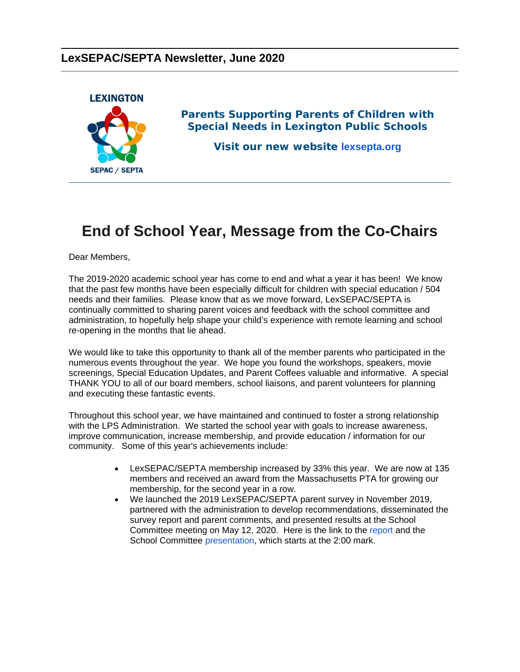#### **LexSEPAC/SEPTA Newsletter, June 2020**



*Parents Supporting Parents of Children with Special Needs in Lexington Public Schools*

**Visit our new website lexsepta.org**

## **End of School Year, Message from [the Co-Ch](https://lexsepta.org/EmailTracker/LinkTracker.ashx?linkAndRecipientCode=LZus9SO%2f0Z1Z2DM77mC7bdpyq4RCTq%2bm0R%2fpOrBQbqD2Oh47ALK3yBexQs0eS1SgPVIzjm2iaLR6voqxpKyidOUxE00cQTfPRdfUufsIxAI%3d)airs**

Dear Members,

The 2019-2020 academic school year has come to end and what a year it has been! We know that the past few months have been especially difficult for children with special education / 504 needs and their families. Please know that as we move forward, LexSEPAC/SEPTA is continually committed to sharing parent voices and feedback with the school committee and administration, to hopefully help shape your child's experience with remote learning and school re-opening in the months that lie ahead.

We would like to take this opportunity to thank all of the member parents who participated in the numerous events throughout the year. We hope you found the workshops, speakers, movie screenings, Special Education Updates, and Parent Coffees valuable and informative. A special THANK YOU to all of our board members, school liaisons, and parent volunteers for planning and executing these fantastic events.

Throughout this school year, we have maintained and continued to foster a strong relationship with the LPS Administration. We started the school year with goals to increase awareness, improve communication, increase membership, and provide education / information for our community. Some of this year's achievements include:

- LexSEPAC/SEPTA membership increased by 33% this year. We are now at 135 members and received an award from the Massachusetts PTA for growing our membership, for the second year in a row.
- We launched the 2019 LexSEPAC/SEPTA parent survey in November 2019, partnered with the administration to develop recommendations, disseminated the survey report and parent comments, and presented results at the School Committee meeting on May 12, 2020. Here is the link to the report and the School Committee presentation, which starts at the 2:00 mark.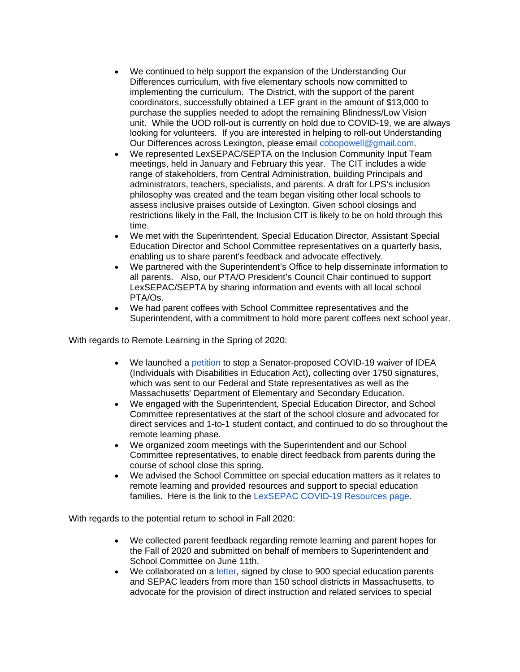- We continued to help support the expansion of the Understanding Our Differences curriculum, with five elementary schools now committed to implementing the curriculum. The District, with the support of the parent coordinators, successfully obtained a LEF grant in the amount of \$13,000 to purchase the supplies needed to adopt the remaining Blindness/Low Vision unit. While the UOD roll-out is currently on hold due to COVID-19, we are always looking for volunteers. If you are interested in helping to roll-out Understanding Our Differences across Lexington, please email [cobopowell@gmail.com.](mailto:cobopowell@gmail.com)
- We represented LexSEPAC/SEPTA on the Inclusion Community Input Team meetings, held in January and February this year. The CIT includes a wide range of stakeholders, from Central Administration, building Principals and administrators, teachers, specialists, and parents. A draft for LPS's inclusion philosophy was created and the team began visiting other local schools to assess inclusive praises outside of Lexington. Given school closings and restrictions likely in the Fall, the Inclusion CIT is likely to be on hold through this time.
- We met with the Superintendent, Special Education Director, Assistant Special Education Director and School Committee representatives on a quarterly basis, enabling us to share parent's feedback and advocate effectively.
- We partnered with the Superintendent's Office to help disseminate information to all parents. Also, our PTA/O President's Council Chair continued to support LexSEPAC/SEPTA by sharing information and events with all local school PTA/Os.
- We had parent coffees with School Committee representatives and the Superintendent, with a commitment to hold more parent coffees next school year.

With regards to Remote Learning in the Spring of 2020:

- We launched a [petition](https://lexsepta.org/EmailTracker/LinkTracker.ashx?linkAndRecipientCode=ZiccDdSDjOR3Qznm4l1AYI2B1fMtKDKhq%2bRdSGESODrKmrPtsr7Ruj4lbib1tO4olPQ8Y5JhgYwt1tg4fus%2fxv0BAFRyiwzt4Z8Zp4PiRus%3d) to stop a Senator-proposed COVID-19 waiver of IDEA (Individuals with Disabilities in Education Act), collecting over 1750 signatures, which was sent to our Federal and State representatives as well as the Massachusetts' Department of Elementary and Secondary Education.
- We engaged with the Superintendent, Special Education Director, and School Committee representatives at the start of the school closure and advocated for direct services and 1-to-1 student contact, and continued to do so throughout the remote learning phase.
- We organized zoom meetings with the Superintendent and our School Committee representatives, to enable direct feedback from parents during the course of school close this spring.
- We advised the School Committee on special education matters as it relates to remote learning and provided resources and support to special education families. Here is the link to the [LexSEPAC COVID-19 Resources page.](https://lexsepta.org/EmailTracker/LinkTracker.ashx?linkAndRecipientCode=DFin880t99DwDG%2fSjTtVRrCkuXgd8JSnxSPznmtIEIMuAK47jFy0%2bk5rIMq8VXYaylb4skjU2GyCMCrphgzVH2lEMbcYXp2kdgAVFFWvwZE%3d)

With regards to the potential return to school in Fall 2020:

- We collected parent feedback regarding remote learning and parent hopes for the Fall of 2020 and submitted on behalf of members to Superintendent and School Committee on June 11th.
- We collaborated on a [letter,](https://lexsepta.org/EmailTracker/LinkTracker.ashx?linkAndRecipientCode=8EUPq4WFf%2fgSIseODTFOPZRktUOlFqSZ2UORduvLjvulQwi2efP2gDBvWhcrv%2bQewqclPA6YBYTvs6XBrqYWSU7YYX9wI5mS%2f8IrBLNnXMw%3d) signed by close to 900 special education parents and SEPAC leaders from more than 150 school districts in Massachusetts, to advocate for the provision of direct instruction and related services to special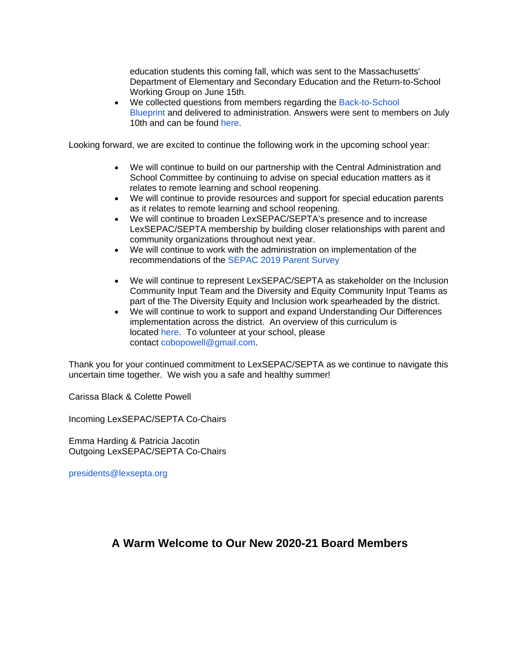education students this coming fall, which was sent to the Massachusetts' Department of Elementary and Secondary Education and the Return-to-School Working Group on June 15th.

• We collected questions from members regarding the [Back-to-School](https://lexsepta.org/EmailTracker/LinkTracker.ashx?linkAndRecipientCode=%2b3n13BmknVU2x0AgwfFb1l7C5Nmd9m%2fVCi39qWFffNOGA5dDPelrRdvFMo%2f1EOK%2bdn%2bz0hAAtp%2fqFmh2spM1UlIHUzSUfzVecDRgMOPvjyE%3d)  [Blueprint](https://lexsepta.org/EmailTracker/LinkTracker.ashx?linkAndRecipientCode=%2b3n13BmknVU2x0AgwfFb1l7C5Nmd9m%2fVCi39qWFffNOGA5dDPelrRdvFMo%2f1EOK%2bdn%2bz0hAAtp%2fqFmh2spM1UlIHUzSUfzVecDRgMOPvjyE%3d) and delivered to administration. Answers were sent to members on July 10th and can be found [here.](https://lexsepta.org/EmailTracker/LinkTracker.ashx?linkAndRecipientCode=jhDwK0nxdqixTSq5uREZ%2bubS6G%2fM%2fHeu9J9HtNeZ%2f20KRo7EiAGl1GjGWuxFJpqvfxvf1yHwFgKLhlmihJQ8o0jFK%2fwFHg1oxSQDn%2bOFegk%3d)

Looking forward, we are excited to continue the following work in the upcoming school year:

- We will continue to build on our partnership with the Central Administration and School Committee by continuing to advise on special education matters as it relates to remote learning and school reopening.
- We will continue to provide resources and support for special education parents as it relates to remote learning and school reopening.
- We will continue to broaden LexSEPAC/SEPTA's presence and to increase LexSEPAC/SEPTA membership by building closer relationships with parent and community organizations throughout next year.
- We will continue to work with the administration on implementation of the recommendations of the [SEPAC 2019 Parent Survey](https://lexsepta.org/EmailTracker/LinkTracker.ashx?linkAndRecipientCode=fgwS%2fHSTirC6pLo3qoCtdda968axmv4J%2bBQtI%2fzPiuKquFbWVEU6gDg747GO6b5SVElW1Lrg7gw4jRP6sjTHdDNYEIZAiXYu%2b%2baUsitG%2fhM%3d)
- We will continue to represent LexSEPAC/SEPTA as stakeholder on the Inclusion Community Input Team and the Diversity and Equity Community Input Teams as part of the The Diversity Equity and Inclusion work spearheaded by the district.
- We will continue to work to support and expand Understanding Our Differences implementation across the district. An overview of this curriculum is located [here.](https://lexsepta.org/EmailTracker/LinkTracker.ashx?linkAndRecipientCode=OVqbrgtksHPpoPD5NnWM2GLxgMgxoTDv1Jluf3QWqdieHs%2bzMpOo1%2bFPj1VnNAyMkCpWSyV%2bixcffzQCd9u9zhGTAMR4oUrEu2JD%2foXLWdE%3d) To volunteer at your school, please contact [cobopowell@gmail.com.](mailto:cobopowell@gmail.com)

Thank you for your continued commitment to LexSEPAC/SEPTA as we continue to navigate this uncertain time together. We wish you a safe and healthy summer!

Carissa Black & Colette Powell

Incoming LexSEPAC/SEPTA Co-Chairs

Emma Harding & Patricia Jacotin Outgoing LexSEPAC/SEPTA Co-Chairs

[presidents@lexsepta.org](mailto:presidents@lexsepta.org)

#### **A Warm Welcome to Our New 2020-21 Board Members**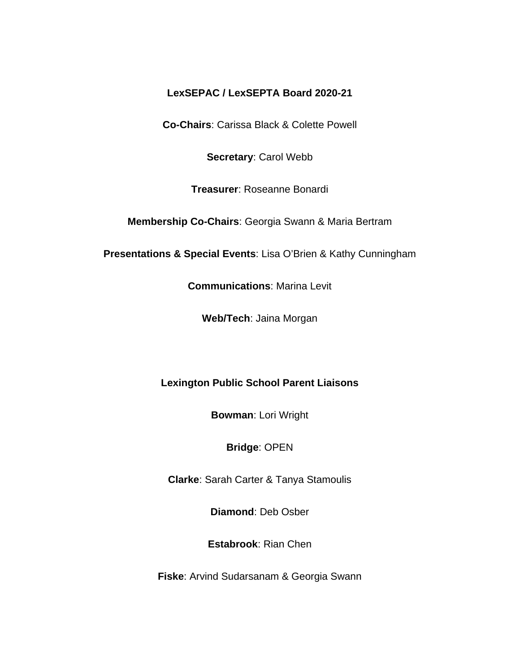#### **LexSEPAC / LexSEPTA Board 2020-21**

**Co-Chairs**: Carissa Black & Colette Powell

**Secretary**: Carol Webb

**Treasurer**: Roseanne Bonardi

**Membership Co-Chairs**: Georgia Swann & Maria Bertram

**Presentations & Special Events**: Lisa O'Brien & Kathy Cunningham

**Communications**: Marina Levit

**Web/Tech**: Jaina Morgan

#### **Lexington Public School Parent Liaisons**

**Bowman**: Lori Wright

#### **Bridge**: OPEN

**Clarke**: Sarah Carter & Tanya Stamoulis

**Diamond**: Deb Osber

**Estabrook**: Rian Chen

**Fiske**: Arvind Sudarsanam & Georgia Swann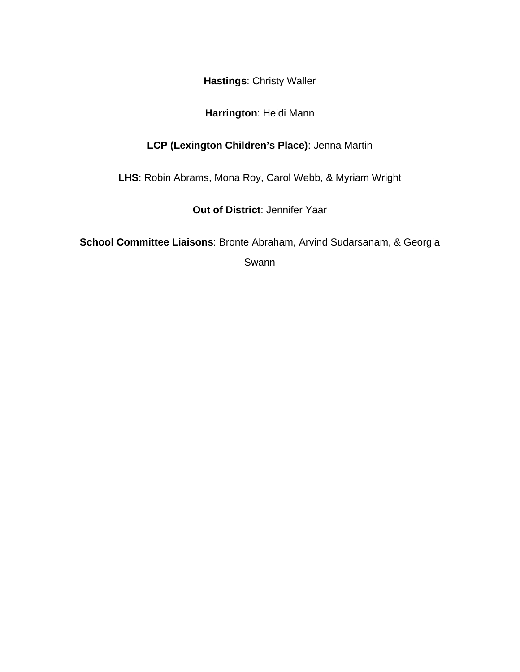**Hastings**: Christy Waller

#### **Harrington**: Heidi Mann

#### **LCP (Lexington Children's Place)**: Jenna Martin

**LHS**: Robin Abrams, Mona Roy, Carol Webb, & Myriam Wright

**Out of District**: Jennifer Yaar

**School Committee Liaisons**: Bronte Abraham, Arvind Sudarsanam, & Georgia

Swann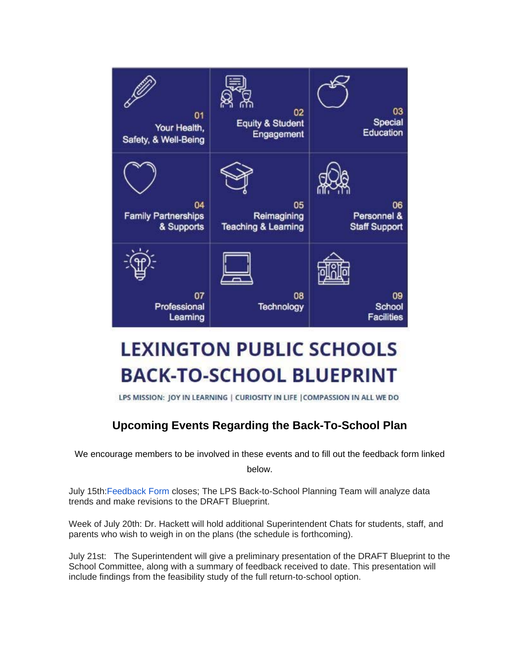

# **LEXINGTON PUBLIC SCHOOLS BACK-TO-SCHOOL BLUEPRINT**

LPS MISSION: JOY IN LEARNING | CURIOSITY IN LIFE | COMPASSION IN ALL WE DO

### **Upcoming Events Regarding the Back-To-School Plan**

We encourage members to be involved in these events and to fill out the feedback form linked

below.

July 15th[:Feedback Form](https://lexsepta.org/EmailTracker/LinkTracker.ashx?linkAndRecipientCode=o5PhvK5M%2f2r9Rx5ENu2DBkNi0HhoIo388JVA3rPwr4%2bAMGpNvyKPv2KLecq8AdqhriQc%2b%2fogC%2bWMQ3duB9fRQuyzlLugzVGobRB%2b%2fbzB%2f1c%3d) closes; The LPS Back-to-School Planning Team will analyze data trends and make revisions to the DRAFT Blueprint.

Week of July 20th: Dr. Hackett will hold additional Superintendent Chats for students, staff, and parents who wish to weigh in on the plans (the schedule is forthcoming).

July 21st: The Superintendent will give a preliminary presentation of the DRAFT Blueprint to the School Committee, along with a summary of feedback received to date. This presentation will include findings from the feasibility study of the full return-to-school option.